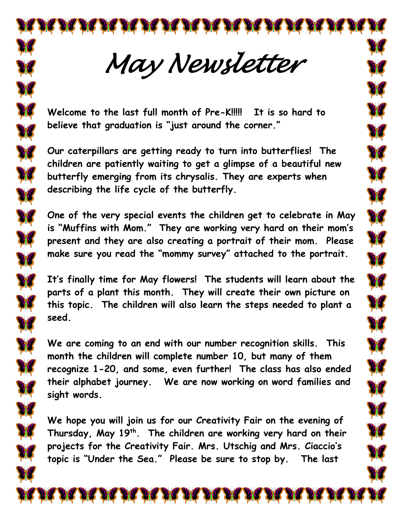*May Newsletter* 

OC AC AC AC AC AC AC AC AC AC

**Welcome to the last full month of Pre-K!!!!! It is so hard to believe that graduation is "just around the corner."**

**Our caterpillars are getting ready to turn into butterflies! The children are patiently waiting to get a glimpse of a beautiful new butterfly emerging from its chrysalis. They are experts when describing the life cycle of the butterfly.** 

**One of the very special events the children get to celebrate in May is "Muffins with Mom." They are working very hard on their mom's present and they are also creating a portrait of their mom. Please make sure you read the "mommy survey" attached to the portrait.**

**A** 

**CN** 

**A** 

ØÓ

**It's finally time for May flowers! The students will learn about the parts of a plant this month. They will create their own picture on this topic. The children will also learn the steps needed to plant a seed.**

**We are coming to an end with our number recognition skills. This month the children will complete number 10, but many of them recognize 1-20, and some, even further! The class has also ended their alphabet journey. We are now working on word families and sight words.**

**We hope you will join us for our Creativity Fair on the evening of Thursday, May 19th. The children are working very hard on their projects for the Creativity Fair. Mrs. Utschig and Mrs. Ciaccio's topic is "Under the Sea." Please be sure to stop by. The last**